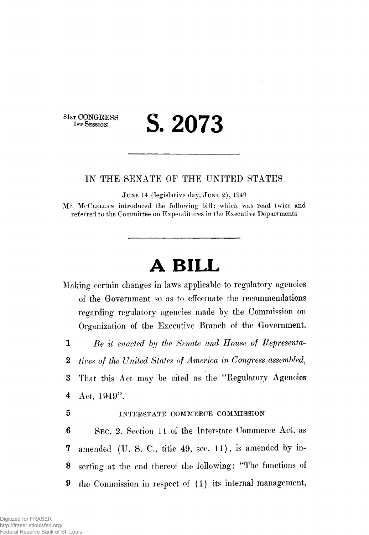81st CONGRESS<br>1st Session

# **1ST SESSION S. 2073**

## IN THE SENATE OF THE UNITED STATES

JUNE 14 (legislative day, JUNE 2), 1949

Mr. MCCLELLAN introduced the following bill; which was read twice and referred to the Committee on Expenditures in the Executive Departments

# **A BILL**

Making certain changes in laws applicable to regulatory agencies of the Government so as to effectuate the recommendations regarding regulatory agencies made by the Commission on Organization of the Executive Branch of the Government.

1 *Be it enacted bij the Senate and House of Represented*

2 *tives of the United States of America in Congress assembled,*

3 That this Act may be cited as the "Regulatory Agencies 4 Act,  $1949$ ".

### 5 INTERSTATE COMMERCE COMMISSION

6 SEC. 2. Section 11 of the Interstate Commerce Act, as 7 amended (U. S. C., title 49, sec. 11), is amended by in-8 serting at the end thereof the following: "The functions of 9 the Commission in respect of (1) its internal management,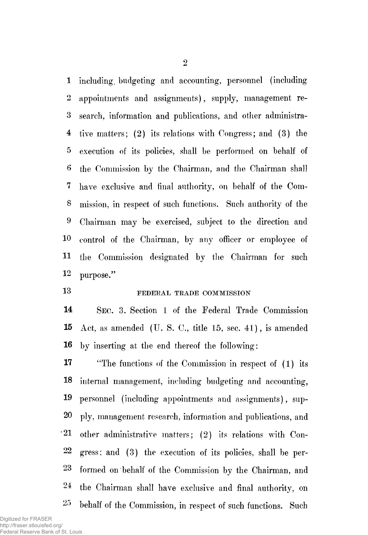1 including, budgeting and accounting, personnel (including 2 appointments and assignments), supply, management re-3 search, information and publications, and other administra-4 tive matters; (2) its relations with Congress; and (3) the 5 execution of its policies, shall be performed on behalf of 6 the Commission by the Chairman, and the Chairman shall 7 have exclusive and final authority, on behalf of the Com-8 mission, in respect of such functions. Such authority of the 9 Chairman may be exercised, subject to the direction and 10 control of the Chairman, by any officer or employee of H the Commission designated by the Chairman for such 12 purpose."

# 13 FEDERAL TRADE COMMISSION

14 SEC. 3. Section 1 of the Federal Trade Commission 15 Act, as amended (U. S. C, title 15, sec. 41), is amended 16 by inserting at the end thereof the following:

**17** "The functions of the Commission in respect of (1) its 18 internal management, including budgeting and accounting, 19 personnel (including appointments and assignments), sup-20 ply, management research, information and publications, and 21 other administrative matters; (2) its relations with Con-22 gress; and (3) the execution of its policies, shall be per-23 formed on behalf of the Commission by the Chairman, and 24 the Chairman shall have exclusive and final authority, on 25 behalf of the Commission, in respect of such functions. Such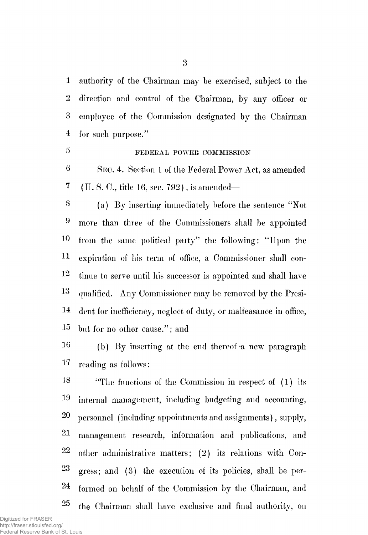1 authority of the Chairman may be exercised, subject to the 2 direction and control of the Chairman, by any officer or 3 employee of the Commission designated by the Chairman 4 for such purpose."

# **5 FEDERAL POWER COMMISSION**

6 SEC. 4. Section 1 of the Federal Power Act, as amended 7 (IT. S. C, title 16, sec. 792), is amended—

8 (a) By inserting immediately before the sentence "Not 9 more than three of the Commissioners shall be appointed 1° from the same political party" the following: "Upon the H expiration of his term of office, a Commissioner shall con- $12$  tinue to serve until his successor is appointed and shall have 1 3 qualified. Any Commissioner may be removed by the Presi-14 dent for inefficiency, neglect of duty, or malfeasance in office, 15 but for no other cause."; and

16 (b) By inserting at the end thereof-a new paragraph 17 reading as follows:

18 "The functions of the Commission in respect of (1) its 19 internal management, including budgeting and accounting, **20**  personnel (including appointments and assignments), supply, 21 management research, information and publications, and  $22$  other administrative matters; (2) its relations with Con-23 gress; and (3) the execution of its policies, shall be per-24 formed on behalf of the Commission by the Chairman, and  $25$ the Chairman shall have exclusive and final authority, on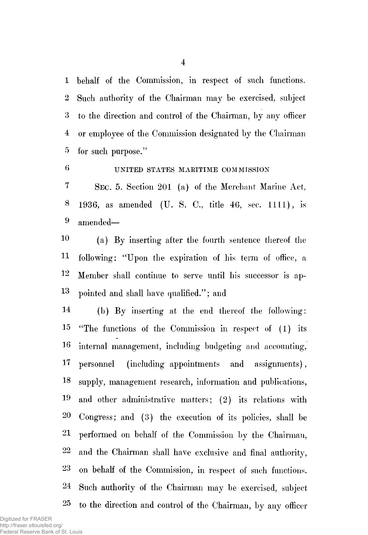1 behalf of the Commission, in respect of such functions. 2 Such authority of the Chairman may be exercised, subject 3 to the direction and control of the Chairman, by any officer 4 or employee of the Commission designated by the Chairman 5 for such purpose."

# 6 UNITED STATES MAEITIME COMMISSION

7 SEC. 5. Section 201 (a) of the Merchant Marine Act, 8 1936, as amended (U. S. C., title 46, sec. 1111), is 9 amended—

1° (a) By inserting after the fourth sentence thereof the 11 following: "Upon the expiration of his term of office, a 12 Member shall continue to serve until his successor is ap-1 3 pointed and shall have qualified."; and

14 (b) By inserting at the end thereof the following: 15 "The functions of the Commission in respect of (1) its 36 internal management, including budgeting and accounting, 17 personnel (including appointments and assignments), 18 supply, management research, information and publications, 19 and other administrative matters; (2) its relations with 20 Congress; and (3) the execution of its policies, shall be 21 performed on behalf of the Commission by the Chairman, 22 and the Chairman shall have exclusive and final authority, 23 on behalf of the Commission, in respect of such functions. 24 Such authority of the Chairman may be exercised, subject 25 to the direction and control of the Chairman, by any officer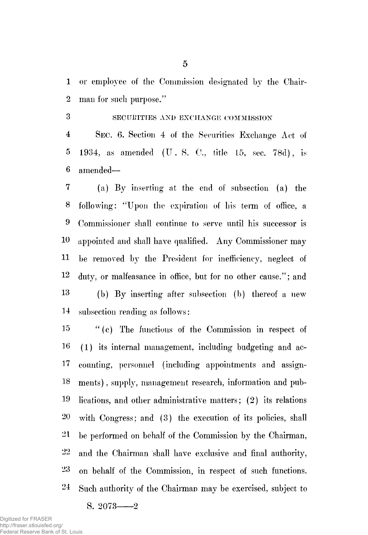1 or employee of the Commission designated by the Chair-2 man for such purpose."

3 SECURITIES AXI) EXCHANGE COMMISSION 4 SEC. 6. Section 4 of the Securities Exchange Act of 5 1934, as amended (IT. S. C., title 15, sec. 78d), is 6 amended—

7 (a) By inserting at the end of subsection (a) the 8 following: "Upon the expiration of his term of office, a 9 Commissioner shall continue to serve until his successor is 10 appointed and shall have qualified. Any Commissioner may 11 be removed by the President for inefficiency, neglect of 12 duty, or malfeasance in office, but for no other cause/'; and 13 (b) By inserting after subsection (b) thereof a new 14 subsection reading as follows:

15 " (c) The functions of the Commission in respect of 16 (1) its internal management, including budgeting and ac-17 counting, personnel (including appointments and assign-18 ments), supply, management research, information and pub-19 lications, and other administrative matters; (2) its relations 20 with Congress; and (3) the execution of its policies, shall 21 be performed on behalf of the Commission by the Chairman, 22 and the Chairman shall have exclusive and final authority, 23 on behalf of the Commission, in respect of such functions. 24 Such authority of the Chairman may be exercised, subject to

S.  $2073 - 2$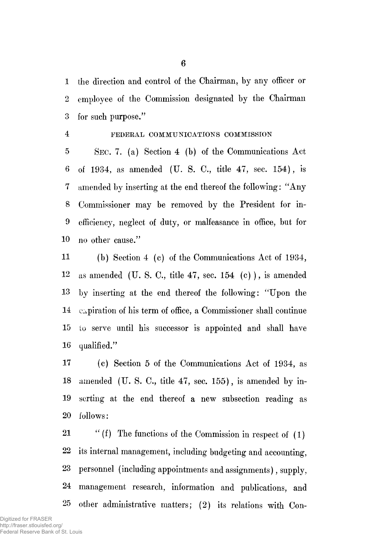1 the direction and control of the Chairman, by any officer or 2 employee of the Commission designated by the Chairman 3 for such purpose."

#### 4 FEDERAL COMMUNICATIONS COMMISSION

5 SEC. 7. (a) Section 4 (b) of the Communications Act 6 of 1934, as amended (U. S. C, title 47, sec. 154), is 7 amended by inserting at the end thereof the following: "Any 8 Commissioner may be removed by the President for in-9 efficiency, neglect of duty, or malfeasance in office, but for 10 no other cause."

11 (b) Section 4 (c) of the Communications Act of 1934,  $12$  as amended (U.S.C., title 47, sec. 154 (c)), is amended 13 by inserting at the end thereof the following: "Upon the 14 expiration of his term of office, a Commissioner shall continue 15 to serve until his successor is appointed and shall have 16 qualified."

17 (c) Section 5 of the Communications Act of 1934, as 18 amended (U. S. C, title 47, sec. 155), is amended by in-19 sorting at the end thereof a new subsection reading as 20 follows:

21  $\qquad$  "(f) The functions of the Commission in respect of (1) 22 its internal management, including budgeting and accounting, 23 personnel (including appointments and assignments), supply, 24 management research, information and publications, and 25 other administrative matters; (2) its relations with Con-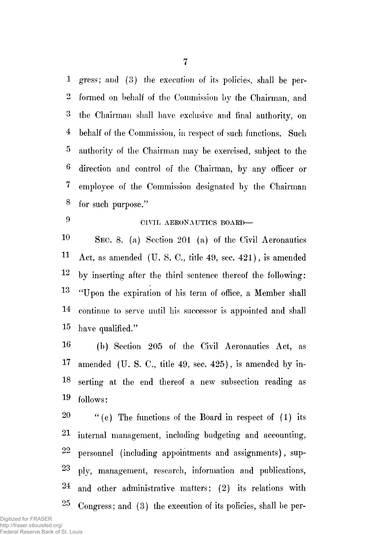1 gress; and (3) the execution of its policies, shall be per-2 formed on behalf of the Commission by the Chairman, and 3 the Chairman shall have exclusive and final authority, on 4 behalf of the Commission, in respect of such functions. Such 5 authority of the Chairman may be exercised, subject to the 6 direction and control of the Chairman, by any officer or 7 employee of the Commission designated by the Chairman 8 for such purpose."

9

# CIVIL AERONAUTICS BOARD-

10 SEC. 8. (a) Section 201 (a) of the Civil Aeronautics 11 Act, as amended (U. S. C., title 49, sec. 421), is amended  $12$  by inserting after the third sentence thereof the following: 13 "Upon the expiration of his term of office, a Member shall 14 continue to serve until his successor is appointed and shall 15 have qualified."

16 (b) Section 205 of the Civil Aeronautics Act, as 17 amended (U. S. C, title 49, sec. 425), is amended by in-18 serting at the end thereof a new subsection reading as 19 follows:

20  $\frac{1}{20}$  (e) The functions of the Board in respect of (1) its 2 internal management, including budgeting and accounting,  $22$  personnel (including appointments and assignments), sup-23 ply? management, research, information and publications,  $24$  and other administrative matters; (2) its relations with  $25$ Congress; and (3) the execution of its policies, shall be per-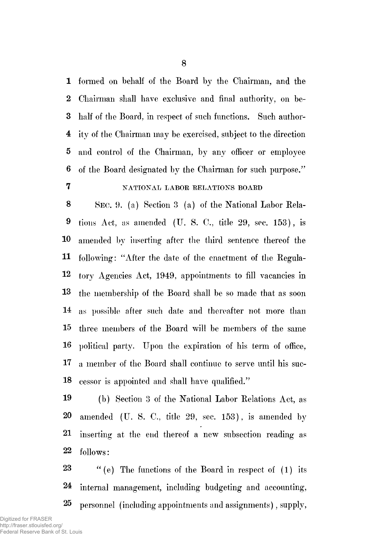1 formed on behalf of the Board by the Chairman, and the 2 Chairman shall have exclusive and final authority, on be-3 half of the Board, in respect of such functions. Such author-4 ity of the Chairman may be exercised, subject to the direction 5 and control of the Chairman, by any officer or employee 6 of the Board designated by the Chairman for such purpose." 7 NATIONAL LABOR RELATIONS BOARD

8 SEC. 9. (a) Section 3 (a) of the National Labor Eela-9 tions Act, as amended (U. S. C, title 29, sec. 153), is 10 amended by inserting after the third sentence thereof the 11 following: "After the date of the enactment of the Kegula-12 tory Agencies Act, 1949, appointments to fill vacancies in 13 the membership of the Board shall be so made that as soon 14 as possible after such date and thereafter not more than 15 three members of the Board will be members of the same 16 political party. Upon the expiration of his term of office, 17 a member of the Board shall continue to serve until his suc-18 cessor is appointed and shall have qualified."

19 (b) Section 3 of the National Labor Relations Act, as 20 amended (U. S. C, title 29, sec. 153), is amended by 21 inserting at the end thereof a new subsection reading as 22 follows:

23 "(e) The functions of the Board in respect of (1) its 24 internal management, including budgeting and accounting, 25 personnel (including appointments and assignments), supply,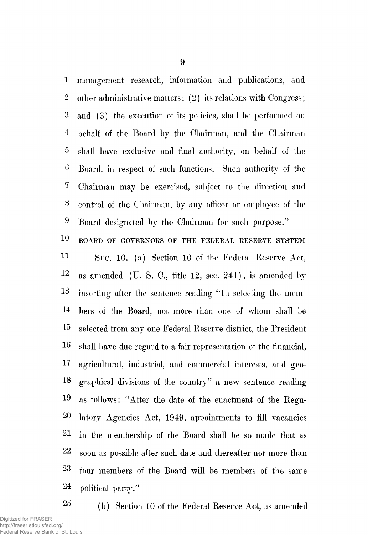1 management research, information and publications, and 2 other administrative matters; (2) its relations with Congress; 3 and (3) the execution of its policies, shall be performed on 4 behalf of the Board by the Chairman, and the Chairman 5 shall have exclusive and final authority, on behalf of the 6 Board, in respect of such functions. Such authority of the 7 Chairman may be exercised, subject to the direction and 8 control of the Chairman, by any officer or employee of the 9 Board designated by the Chairman for such purpose."

 $10$  BOARD OF GOVERNORS OF THE FEDERAL RESERVE SYSTEM **11**  SEC. 10. (a) Section 10 of the Federal Reserve Act,  $12$  as amended (U. S. C., title 12, sec. 241), is amended by 13 inserting after the sentence reading "In selecting the mem-14 bers of the Board, not more than one of whom shall be 15 selected from any one Federal Reserve district, the President 16 shall have due regard to a fair representation of the financial, 17 agricultural, industrial, and commercial interests, and geo-18 graphical divisions of the country" a new sentence reading 19 as follows: "After the date of the enactment of the Regu-20 latory Agencies Act, 1949, appointments to fill vacancies 21 in the membership of the Board shall be so made that as  $22$  soon as possible after such date and thereafter not more than 23 four members of the Board will be members of the same 24 political party."

25 (b) Section 10 of the Federal Reserve Act, as amended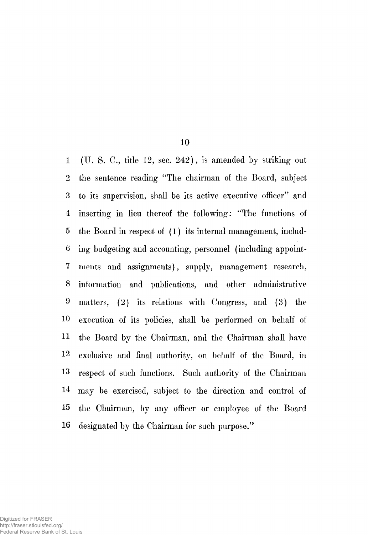1 (U. S. C, title 12, sec. 242), is amended by striking out 2 the sentence reading "The chairman of the Board, subject 3 to its supervision, shall be its active executive officer" and 4 inserting in lieu thereof the following: "The functions of 5 the Board in respect of (1) its internal management, includ-6 ing budgeting and accounting, personnel (including appoint-7 nients and assignments), supply, management research, 8 information and publications, and other administrative 9 matters, (2) its relations with Congress, and (3) the 10 execution of its policies, shall be performed on behalf of 11 the Board by the Chairman, and the Chairman shall have 12 exclusive and final authority, on behalf of the Board, in 13 respect of such functions. Such authority of the Chairman 14 may be exercised, subject to the direction and control of 15 the Chairman, by any officer or employee of the Board 16 designated by the Chairman for such purpose."

**10**